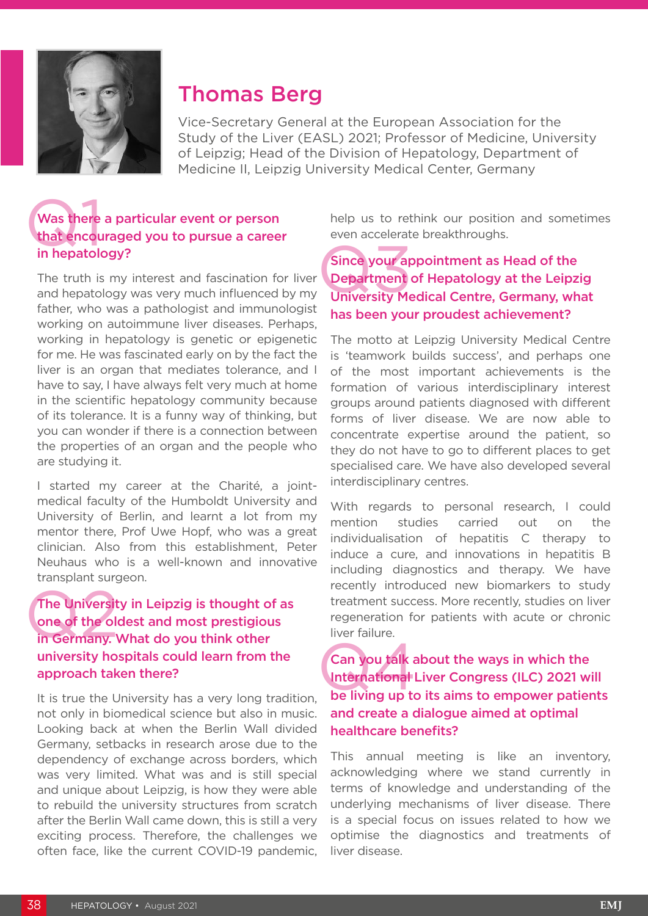

# Thomas Berg

Vice-Secretary General at the European Association for the Study of the Liver (EASL) 2021; Professor of Medicine, University of Leipzig; Head of the Division of Hepatology, Department of Medicine II, Leipzig University Medical Center, Germany

### Was there<br>that encours<br>in hepatok Was there a particular event or person that encouraged you to pursue a career in hepatology?

The truth is my interest and fascination for liver and hepatology was very much influenced by my father, who was a pathologist and immunologist working on autoimmune liver diseases. Perhaps, working in hepatology is genetic or epigenetic for me. He was fascinated early on by the fact the liver is an organ that mediates tolerance, and I have to say, I have always felt very much at home in the scientific hepatology community because of its tolerance. It is a funny way of thinking, but you can wonder if there is a connection between the properties of an organ and the people who are studying it.

I started my career at the Charité, a jointmedical faculty of the Humboldt University and University of Berlin, and learnt a lot from my mentor there, Prof Uwe Hopf, who was a great clinician. Also from this establishment, Peter Neuhaus who is a well-known and innovative transplant surgeon.

### The Universit<br>
one of the old<br>
in Germany. The University in Leipzig is thought of as one of the oldest and most prestigious in Germany. What do you think other university hospitals could learn from the approach taken there?

It is true the University has a very long tradition, not only in biomedical science but also in music. Looking back at when the Berlin Wall divided Germany, setbacks in research arose due to the dependency of exchange across borders, which was very limited. What was and is still special and unique about Leipzig, is how they were able to rebuild the university structures from scratch after the Berlin Wall came down, this is still a very exciting process. Therefore, the challenges we often face, like the current COVID-19 pandemic,

help us to rethink our position and sometimes even accelerate breakthroughs.

Since your ap<br>Department<br>University Me Since your appointment as Head of the Department of Hepatology at the Leipzig University Medical Centre, Germany, what has been your proudest achievement?

The motto at Leipzig University Medical Centre is 'teamwork builds success', and perhaps one of the most important achievements is the formation of various interdisciplinary interest groups around patients diagnosed with different forms of liver disease. We are now able to concentrate expertise around the patient, so they do not have to go to different places to get specialised care. We have also developed several interdisciplinary centres.

With regards to personal research. I could mention studies carried out on the individualisation of hepatitis C therapy to induce a cure, and innovations in hepatitis B including diagnostics and therapy. We have recently introduced new biomarkers to study treatment success. More recently, studies on liver regeneration for patients with acute or chronic liver failure.

### Can you talk about the ways in which the<br>International Liver Congress (ILC) 2021 will<br>be living up to its aims to empower patients Can you talk about the ways in which the International Liver Congress (ILC) 2021 will and create a dialogue aimed at optimal healthcare benefits?

This annual meeting is like an inventory, acknowledging where we stand currently in terms of knowledge and understanding of the underlying mechanisms of liver disease. There is a special focus on issues related to how we optimise the diagnostics and treatments of liver disease.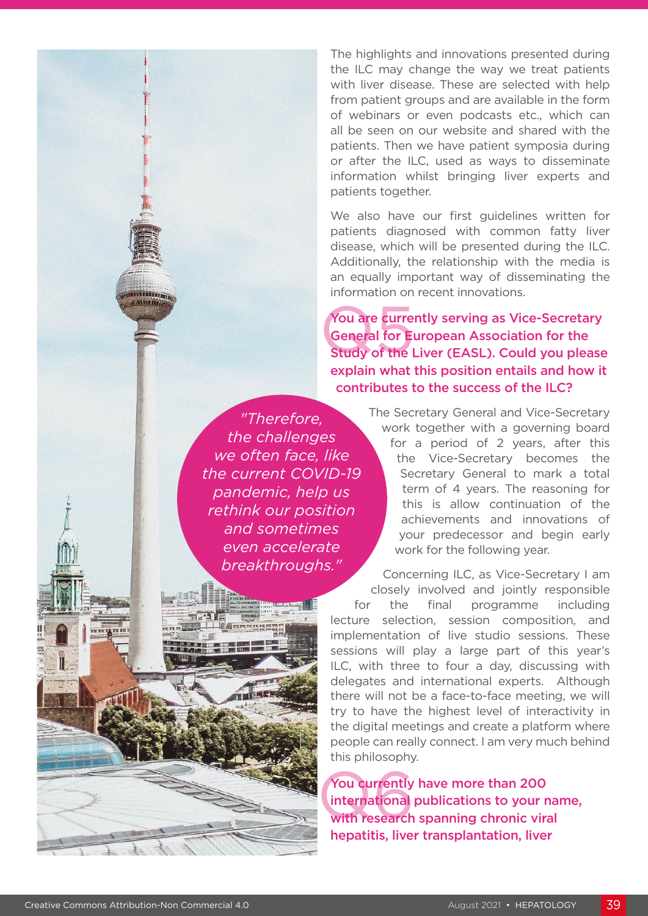The highlights and innovations presented during the ILC may change the way we treat patients with liver disease. These are selected with help from patient groups and are available in the form of webinars or even podcasts etc., which can all be seen on our website and shared with the patients. Then we have patient symposia during or after the ILC, used as ways to disseminate information whilst bringing liver experts and patients together.

We also have our first guidelines written for patients diagnosed with common fatty liver disease, which will be presented during the ILC. Additionally, the relationship with the media is an equally important way of disseminating the information on recent innovations.

**You are curre<br>General for Election** You are currently serving as Vice-Secretary General for European Association for the Study of the Liver (EASL). Could you please explain what this position entails and how it contributes to the success of the ILC?

*"Therefore, the challenges we often face, like the current COVID-19 pandemic, help us rethink our position and sometimes even accelerate breakthroughs."* 

The Secretary General and Vice-Secretary work together with a governing board for a period of 2 years, after this the Vice-Secretary becomes the Secretary General to mark a total term of 4 years. The reasoning for this is allow continuation of the achievements and innovations of your predecessor and begin early work for the following year.

Concerning ILC, as Vice-Secretary I am closely involved and jointly responsible for the final programme including lecture selection, session composition, and implementation of live studio sessions. These sessions will play a large part of this year's ILC, with three to four a day, discussing with delegates and international experts. Although there will not be a face-to-face meeting, we will try to have the highest level of interactivity in the digital meetings and create a platform where people can really connect. I am very much behind this philosophy.

You currently<br>international<br>with research You currently have more than 200 international publications to your name, with research spanning chronic viral hepatitis, liver transplantation, liver